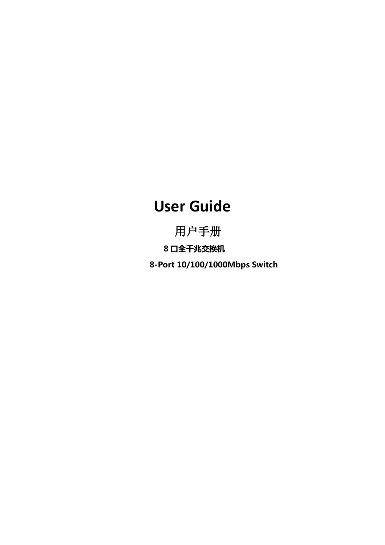# **User Guide**

用户手册 8 口全千兆交换机 8-Port 10/100/1000Mbps Switch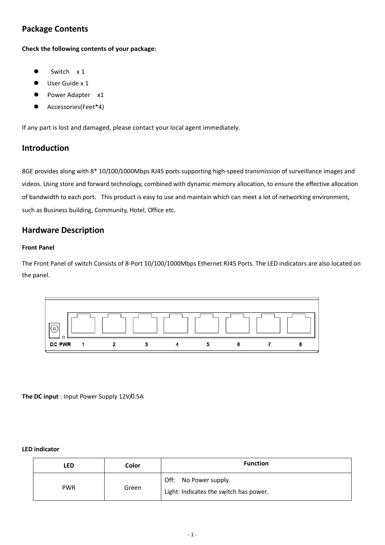### **Package Contents**

**Check the following contents of your package:**

- Switch x 1
- User Guide x 1
- Power Adapter x1
- Accessories(Feet\*4)

If any part is lost and damaged, please contact your local agent immediately.

### **Introduction**

8GE provides along with 8\* 10/100/1000Mbps RJ45 ports supporting high-speed transmission of surveillance images and videos. Using store and forward technology, combined with dynamic memory allocation, to ensure the effective allocation of bandwidth to each port. This product is easy to use and maintain which can meet a lot of networking environment, such as Business building, Community, Hotel, Office etc.

### **Hardware Description**

#### **Front Panel**

The Front Panel of switch Consists of 8-Port 10/100/1000Mbps Ethernet RJ45 Ports. The LED indicators are also located on the panel.



**The DC input** : Input Power Supply 12V/0.5A

#### **LED indicator**

| LED        | Color | <b>Function</b>                                                 |
|------------|-------|-----------------------------------------------------------------|
| <b>PWR</b> | Green | Off: No Power supply.<br>Light: Indicates the switch has power. |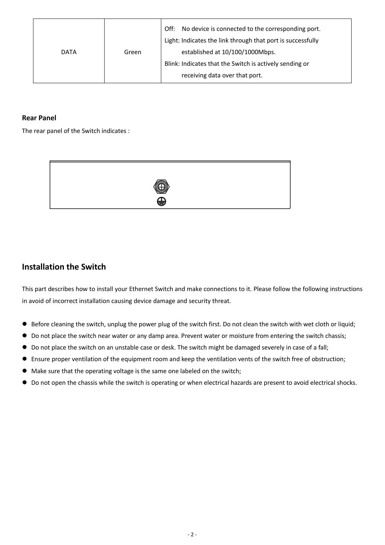| <b>DATA</b> | Green | Off:<br>No device is connected to the corresponding port.<br>Light: Indicates the link through that port is successfully<br>established at 10/100/1000Mbps. |
|-------------|-------|-------------------------------------------------------------------------------------------------------------------------------------------------------------|
|             |       | Blink: Indicates that the Switch is actively sending or                                                                                                     |
|             |       | receiving data over that port.                                                                                                                              |

### **Rear Panel**

The rear panel of the Switch indicates :



### **Installation the Switch**

This part describes how to install your Ethernet Switch and make connections to it. Please follow the following instructions in avoid of incorrect installation causing device damage and security threat.

- Before cleaning the switch, unplug the power plug of the switch first. Do not clean the switch with wet cloth or liquid;
- Do not place the switch near water or any damp area. Prevent water or moisture from entering the switch chassis;
- Do not place the switch on an unstable case or desk. The switch might be damaged severely in case of a fall;
- Ensure proper ventilation of the equipment room and keep the ventilation vents of the switch free of obstruction;
- $\bullet$  Make sure that the operating voltage is the same one labeled on the switch;
- Do not open the chassis while the switch is operating or when electrical hazards are present to avoid electrical shocks.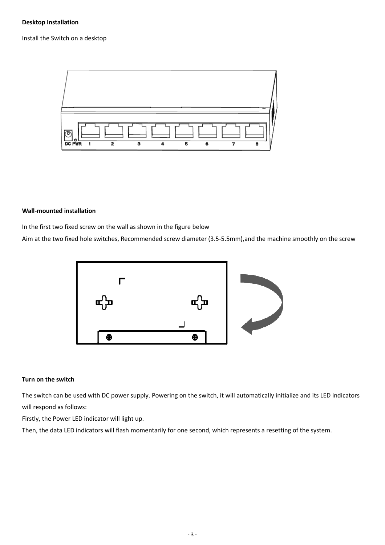#### **Desktop Installation**

Install the Switch on a desktop



#### **Wall-mounted installation**

In the first two fixed screw on the wall as shown in the figure below

Aim at the two fixed hole switches, Recommended screw diameter (3.5-5.5mm),and the machine smoothly on the screw



#### **Turn on the switch**

The switch can be used with DC power supply. Powering on the switch, it will automatically initialize and its LED indicators will respond as follows:

Firstly, the Power LED indicator will light up.

Then, the data LED indicators will flash momentarily for one second, which represents a resetting of the system.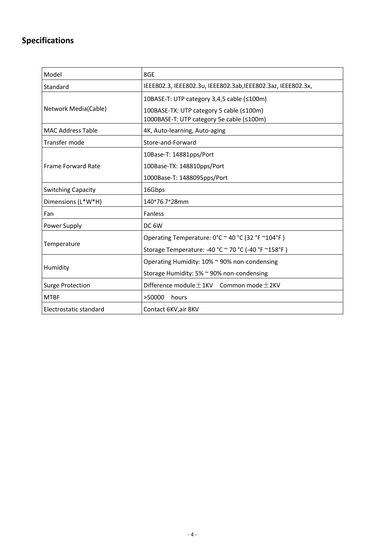# **Specifications**

| Model                     | 8GE                                                                                                                                 |  |  |
|---------------------------|-------------------------------------------------------------------------------------------------------------------------------------|--|--|
| Standard                  | IEEE802.3, IEEE802.3u, IEEE802.3ab, IEEE802.3az, IEEE802.3x,                                                                        |  |  |
| Network Media(Cable)      | 10BASE-T: UTP category 3,4,5 cable (≤100m)<br>100BASE-TX: UTP category 5 cable (≤100m)<br>1000BASE-T: UTP category 5e cable (≤100m) |  |  |
| <b>MAC Address Table</b>  | 4K, Auto-learning, Auto-aging                                                                                                       |  |  |
| Transfer mode             | Store-and-Forward                                                                                                                   |  |  |
|                           | 10Base-T: 14881pps/Port                                                                                                             |  |  |
| <b>Frame Forward Rate</b> | 100Base-TX: 148810pps/Port                                                                                                          |  |  |
|                           | 1000Base-T: 1488095pps/Port                                                                                                         |  |  |
| <b>Switching Capacity</b> | 16Gbps                                                                                                                              |  |  |
| Dimensions (L*W*H)        | 140*76.7*28mm                                                                                                                       |  |  |
| Fan                       | Fanless                                                                                                                             |  |  |
| Power Supply              | DC <sub>6</sub> W                                                                                                                   |  |  |
| Temperature               | Operating Temperature: 0°C ~ 40 °C (32 °F ~104°F)<br>Storage Temperature: -40 °C ~ 70 °C (-40 °F ~158°F)                            |  |  |
| Humidity                  | Operating Humidity: 10% ~ 90% non-condensing<br>Storage Humidity: 5% ~ 90% non-condensing                                           |  |  |
| <b>Surge Protection</b>   | Difference module $\pm$ 1KV Common mode $\pm$ 2KV                                                                                   |  |  |
| <b>MTBF</b>               | >50000<br>hours                                                                                                                     |  |  |
| Electrostatic standard    | Contact 6KV, air 8KV                                                                                                                |  |  |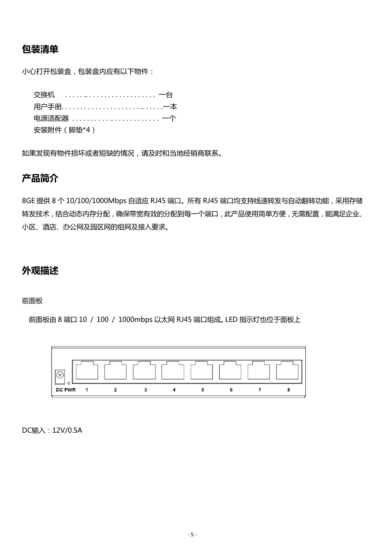### 包装清单

小心打开包装盒,包装盒内应有以下物件:

| 电源适配器  一个   |
|-------------|
| 安装附件 (脚垫*4) |

如果发现有物件损坏或者短缺的情况,请及时和当地经销商联系。

### 产品简介

8GE 提供 8 个 10/100/1000Mbps 自适应 RJ45 端口。所有 RJ45 端口均支持线速转发与自动翻转功能,采用存储 转发技术,结合动态内存分配,确保带宽有效的分配到每一个端口,此产品使用简单方便,无需配置,能满足企业、 小区、酒庖、办公网及园区网的组网及接入要求。

### 外观描述

#### 前面板

前面板由 8 端口 10 / 100 / 1000mbps 以太网 RJ45 端口组成。LED 挃示灯也位于面板上



DC输入:12V/0.5A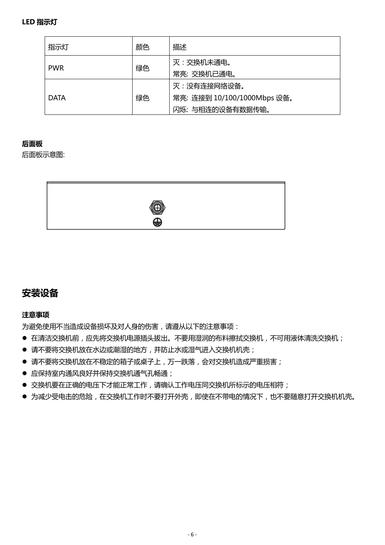| 指示灯         | 颜色 | 描述                                                             |
|-------------|----|----------------------------------------------------------------|
| <b>PWR</b>  | 绿色 | 灭:交换机未通电。<br>常亮: 交换机已通电。                                       |
| <b>DATA</b> | 绿色 | 灭:没有连接网络设备。<br>常亮: 连接到 10/100/1000Mbps 设备。<br>闪烁: 与相连的设备有数据传输。 |

### 后面板

后面板示意图:



## 安装设备

### 注意事项

为避免使用不当造成设备损坏及对人身的伤害,请遵从以下的注意事项:

- 在清洁交换机前,应先将交换机电源插头拔出。不要用湿润的布料擦拭交换机,不可用液体清洗交换机;
- 请不要将交换机放在水边或潮湿的地方,并防止水或湿气进入交换机机壳;
- 请不要将交换机放在不稳定的箱子或桌子上,万一跌落,会对交换机造成严重损害;
- 应保持室内通风良好并保持交换机通气孔畅通;
- 交换机要在正确的电压下才能正常工作,请确认工作电压同交换机所标示的电压相符;
- 为减少受电击的危险,在交换机工作时不要打开外壳,即使在不带电的情况下,也不要随意打开交换机机壳。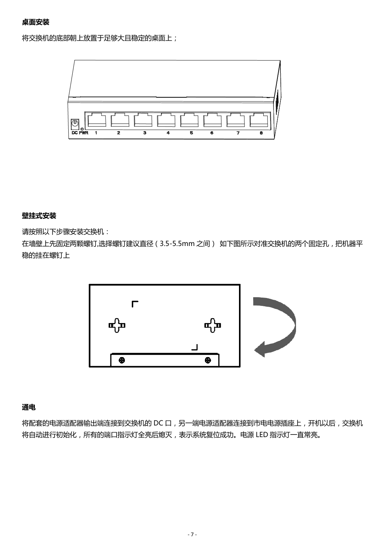将交换机的底部朝上放置于足够大目稳定的桌面上;



### 壁挂式安装

请按照以下步骤安装交换机:

在墙壁上先固定两颗螺钉,选择螺钉建议直径 (3.5-5.5mm 之间) 如下图所示对准交换机的两个固定孔, 把机器平 稳的挂在螺钉上



### 通电

将配套的电源适配器输出端连接到交换机的 DC 口, 另一端电源适配器连接到市电电源插座上, 开机以后, 交换机 将自动进行初始化,所有的端口指示灯全亮后熄灭,表示系统复位成功。电源 LED 指示灯一直常亮。